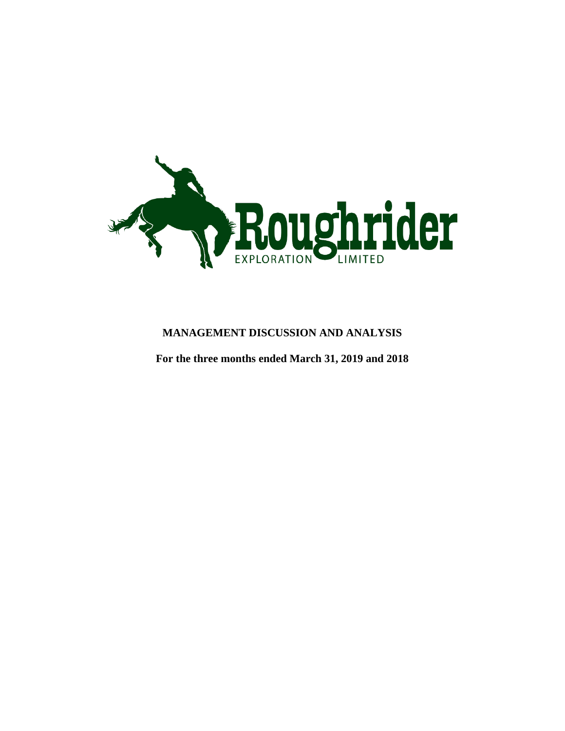

# **MANAGEMENT DISCUSSION AND ANALYSIS**

**For the three months ended March 31, 2019 and 2018**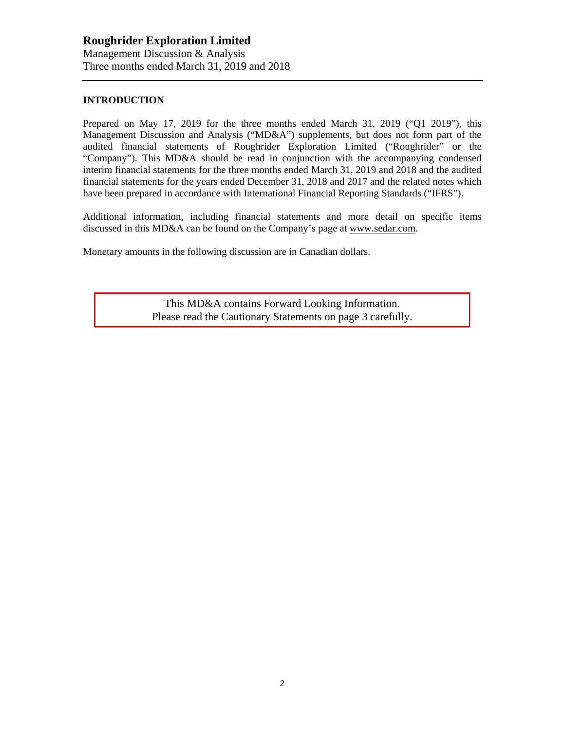#### **INTRODUCTION**

Prepared on May 17, 2019 for the three months ended March 31, 2019 ("Q1 2019"), this Management Discussion and Analysis ("MD&A") supplements, but does not form part of the audited financial statements of Roughrider Exploration Limited ("Roughrider" or the "Company"). This MD&A should be read in conjunction with the accompanying condensed interim financial statements for the three months ended March 31, 2019 and 2018 and the audited financial statements for the years ended December 31, 2018 and 2017 and the related notes which have been prepared in accordance with International Financial Reporting Standards ("IFRS").

Additional information, including financial statements and more detail on specific items discussed in this MD&A can be found on the Company's page at [www.sedar.com.](http://www.sedar.com/)

Monetary amounts in the following discussion are in Canadian dollars.

This MD&A contains Forward Looking Information. Please read the Cautionary Statements on page 3 carefully.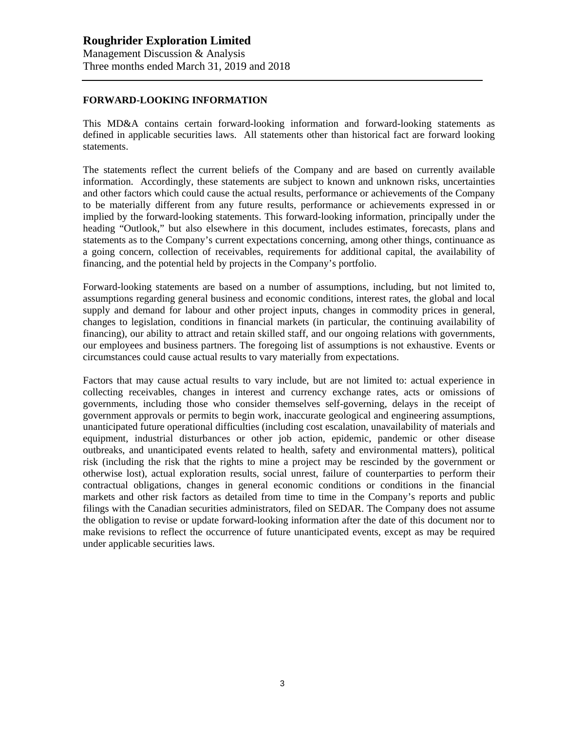#### **FORWARD-LOOKING INFORMATION**

This MD&A contains certain forward-looking information and forward-looking statements as defined in applicable securities laws. All statements other than historical fact are forward looking statements.

The statements reflect the current beliefs of the Company and are based on currently available information. Accordingly, these statements are subject to known and unknown risks, uncertainties and other factors which could cause the actual results, performance or achievements of the Company to be materially different from any future results, performance or achievements expressed in or implied by the forward-looking statements. This forward-looking information, principally under the heading "Outlook," but also elsewhere in this document, includes estimates, forecasts, plans and statements as to the Company's current expectations concerning, among other things, continuance as a going concern, collection of receivables, requirements for additional capital, the availability of financing, and the potential held by projects in the Company's portfolio.

Forward-looking statements are based on a number of assumptions, including, but not limited to, assumptions regarding general business and economic conditions, interest rates, the global and local supply and demand for labour and other project inputs, changes in commodity prices in general, changes to legislation, conditions in financial markets (in particular, the continuing availability of financing), our ability to attract and retain skilled staff, and our ongoing relations with governments, our employees and business partners. The foregoing list of assumptions is not exhaustive. Events or circumstances could cause actual results to vary materially from expectations.

Factors that may cause actual results to vary include, but are not limited to: actual experience in collecting receivables, changes in interest and currency exchange rates, acts or omissions of governments, including those who consider themselves self-governing, delays in the receipt of government approvals or permits to begin work, inaccurate geological and engineering assumptions, unanticipated future operational difficulties (including cost escalation, unavailability of materials and equipment, industrial disturbances or other job action, epidemic, pandemic or other disease outbreaks, and unanticipated events related to health, safety and environmental matters), political risk (including the risk that the rights to mine a project may be rescinded by the government or otherwise lost), actual exploration results, social unrest, failure of counterparties to perform their contractual obligations, changes in general economic conditions or conditions in the financial markets and other risk factors as detailed from time to time in the Company's reports and public filings with the Canadian securities administrators, filed on SEDAR. The Company does not assume the obligation to revise or update forward-looking information after the date of this document nor to make revisions to reflect the occurrence of future unanticipated events, except as may be required under applicable securities laws.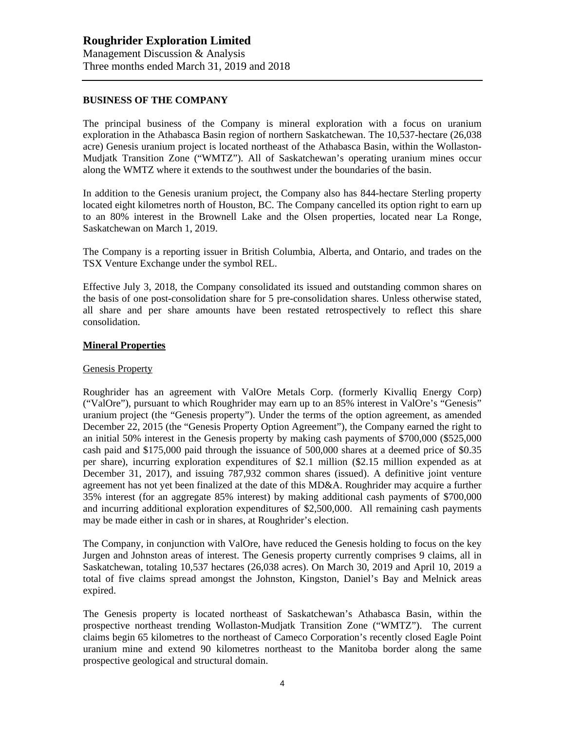#### **BUSINESS OF THE COMPANY**

The principal business of the Company is mineral exploration with a focus on uranium exploration in the Athabasca Basin region of northern Saskatchewan. The 10,537-hectare (26,038 acre) Genesis uranium project is located northeast of the Athabasca Basin, within the Wollaston-Mudjatk Transition Zone ("WMTZ"). All of Saskatchewan's operating uranium mines occur along the WMTZ where it extends to the southwest under the boundaries of the basin.

In addition to the Genesis uranium project, the Company also has 844-hectare Sterling property located eight kilometres north of Houston, BC. The Company cancelled its option right to earn up to an 80% interest in the Brownell Lake and the Olsen properties, located near La Ronge, Saskatchewan on March 1, 2019.

The Company is a reporting issuer in British Columbia, Alberta, and Ontario, and trades on the TSX Venture Exchange under the symbol REL.

Effective July 3, 2018, the Company consolidated its issued and outstanding common shares on the basis of one post-consolidation share for 5 pre-consolidation shares. Unless otherwise stated, all share and per share amounts have been restated retrospectively to reflect this share consolidation.

#### **Mineral Properties**

#### Genesis Property

Roughrider has an agreement with ValOre Metals Corp. (formerly Kivalliq Energy Corp) ("ValOre"), pursuant to which Roughrider may earn up to an 85% interest in ValOre's "Genesis" uranium project (the "Genesis property"). Under the terms of the option agreement, as amended December 22, 2015 (the "Genesis Property Option Agreement"), the Company earned the right to an initial 50% interest in the Genesis property by making cash payments of \$700,000 (\$525,000 cash paid and \$175,000 paid through the issuance of 500,000 shares at a deemed price of \$0.35 per share), incurring exploration expenditures of \$2.1 million (\$2.15 million expended as at December 31, 2017), and issuing 787,932 common shares (issued). A definitive joint venture agreement has not yet been finalized at the date of this MD&A. Roughrider may acquire a further 35% interest (for an aggregate 85% interest) by making additional cash payments of \$700,000 and incurring additional exploration expenditures of \$2,500,000. All remaining cash payments may be made either in cash or in shares, at Roughrider's election.

The Company, in conjunction with ValOre, have reduced the Genesis holding to focus on the key Jurgen and Johnston areas of interest. The Genesis property currently comprises 9 claims, all in Saskatchewan, totaling 10,537 hectares (26,038 acres). On March 30, 2019 and April 10, 2019 a total of five claims spread amongst the Johnston, Kingston, Daniel's Bay and Melnick areas expired.

The Genesis property is located northeast of Saskatchewan's Athabasca Basin, within the prospective northeast trending Wollaston-Mudjatk Transition Zone ("WMTZ"). The current claims begin 65 kilometres to the northeast of Cameco Corporation's recently closed Eagle Point uranium mine and extend 90 kilometres northeast to the Manitoba border along the same prospective geological and structural domain.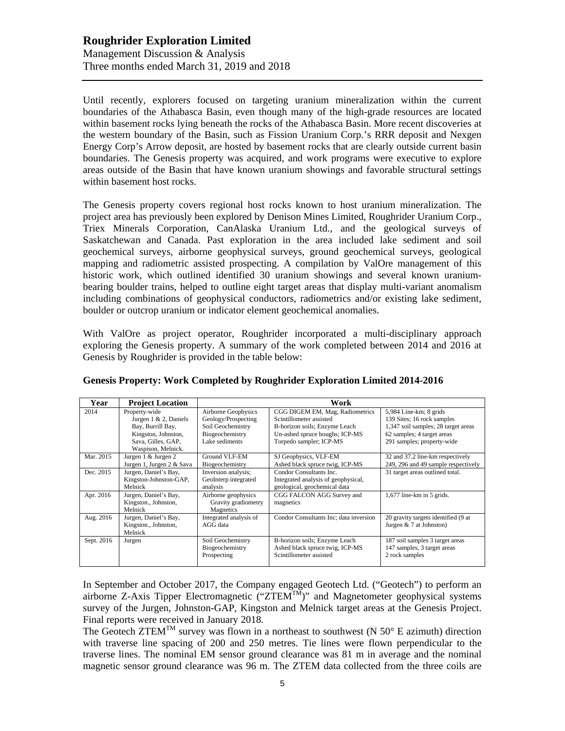# **Roughrider Exploration Limited** Management Discussion & Analysis Three months ended March 31, 2019 and 2018

Until recently, explorers focused on targeting uranium mineralization within the current boundaries of the Athabasca Basin, even though many of the high-grade resources are located within basement rocks lying beneath the rocks of the Athabasca Basin. More recent discoveries at the western boundary of the Basin, such as Fission Uranium Corp.'s RRR deposit and Nexgen Energy Corp's Arrow deposit, are hosted by basement rocks that are clearly outside current basin boundaries. The Genesis property was acquired, and work programs were executive to explore areas outside of the Basin that have known uranium showings and favorable structural settings within basement host rocks.

The Genesis property covers regional host rocks known to host uranium mineralization. The project area has previously been explored by Denison Mines Limited, Roughrider Uranium Corp., Triex Minerals Corporation, CanAlaska Uranium Ltd., and the geological surveys of Saskatchewan and Canada. Past exploration in the area included lake sediment and soil geochemical surveys, airborne geophysical surveys, ground geochemical surveys, geological mapping and radiometric assisted prospecting. A compilation by ValOre management of this historic work, which outlined identified 30 uranium showings and several known uraniumbearing boulder trains, helped to outline eight target areas that display multi-variant anomalism including combinations of geophysical conductors, radiometrics and/or existing lake sediment, boulder or outcrop uranium or indicator element geochemical anomalies.

With ValOre as project operator, Roughrider incorporated a multi-disciplinary approach exploring the Genesis property. A summary of the work completed between 2014 and 2016 at Genesis by Roughrider is provided in the table below:

| Year       | <b>Project Location</b>                                                                                                            | Work                                                                                                 |                                                                                                                                                          |                                                                                                                                                         |
|------------|------------------------------------------------------------------------------------------------------------------------------------|------------------------------------------------------------------------------------------------------|----------------------------------------------------------------------------------------------------------------------------------------------------------|---------------------------------------------------------------------------------------------------------------------------------------------------------|
| 2014       | Property-wide<br>Jurgen $1 \& 2$ , Daniels<br>Bay, Burrill Bay,<br>Kingston, Johnston,<br>Sava, Gilles, GAP,<br>Waspison, Melnick. | Airborne Geophysics<br>Geology/Prospecting<br>Soil Geochemistry<br>Biogeochemistry<br>Lake sediments | CGG DIGEM EM, Mag, Radiometrics<br>Scintillometer assisted<br>B-horizon soils; Enzyme Leach<br>Un-ashed spruce boughs; ICP-MS<br>Torpedo sampler; ICP-MS | 5,984 Line-km; 8 grids<br>139 Sites; 16 rock samples<br>1,347 soil samples; 28 target areas<br>62 samples; 4 target areas<br>291 samples; property-wide |
| Mar. 2015  | Jurgen 1 & Jurgen 2<br>Jurgen 1, Jurgen 2 & Sava                                                                                   | Ground VLF-EM<br>Biogeochemistry                                                                     | SJ Geophysics, VLF-EM<br>Ashed black spruce twig, ICP-MS                                                                                                 | 32 and 37.2 line-km respectively<br>249, 296 and 49 sample respectively                                                                                 |
| Dec. 2015  | Jurgen, Daniel's Bay,<br>Kingston-Johnston-GAP,<br>Melnick                                                                         | Inversion analysis;<br>GeoInterp integrated<br>analysis                                              | Condor Consultants Inc.<br>Integrated analysis of geophysical,<br>geological, geochemical data                                                           | 31 target areas outlined total.                                                                                                                         |
| Apr. 2016  | Jurgen, Daniel's Bay,<br>Kingston., Johnston,<br>Melnick                                                                           | Airborne geophysics<br>Gravity gradiometry<br>Magnetics                                              | CGG FALCON AGG Survey and<br>magnetics                                                                                                                   | $1,677$ line-km in 5 grids.                                                                                                                             |
| Aug. 2016  | Jurgen, Daniel's Bay,<br>Kingston., Johnston,<br>Melnick                                                                           | Integrated analysis of<br>AGG data                                                                   | Condor Consultants Inc; data inversion                                                                                                                   | 20 gravity targets identified (9 at<br>Jurgen $& 7$ at Johnston)                                                                                        |
| Sept. 2016 | Jurgen                                                                                                                             | Soil Geochemistry<br>Biogeochemistry<br>Prospecting                                                  | B-horizon soils; Enzyme Leach<br>Ashed black spruce twig, ICP-MS<br>Scintillometer assisted                                                              | 187 soil samples 3 target areas<br>147 samples, 3 target areas<br>2 rock samples                                                                        |

#### **Genesis Property: Work Completed by Roughrider Exploration Limited 2014-2016**

In September and October 2017, the Company engaged Geotech Ltd. ("Geotech") to perform an airborne Z-Axis Tipper Electromagnetic (" $ZTEM^{TM}$ " and Magnetometer geophysical systems survey of the Jurgen, Johnston-GAP, Kingston and Melnick target areas at the Genesis Project. Final reports were received in January 2018.

The Geotech ZTEM<sup>TM</sup> survey was flown in a northeast to southwest (N 50 $\degree$  E azimuth) direction with traverse line spacing of 200 and 250 metres. Tie lines were flown perpendicular to the traverse lines. The nominal EM sensor ground clearance was 81 m in average and the nominal magnetic sensor ground clearance was 96 m. The ZTEM data collected from the three coils are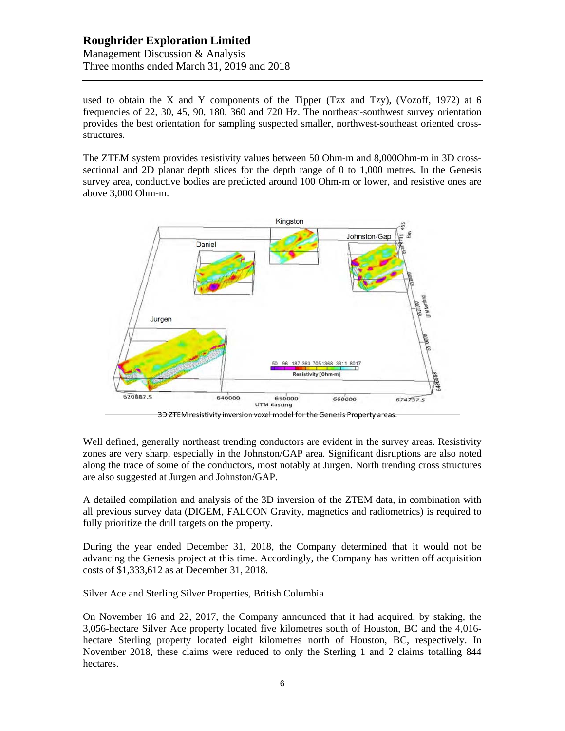# **Roughrider Exploration Limited**

Management Discussion & Analysis Three months ended March 31, 2019 and 2018

used to obtain the X and Y components of the Tipper (Tzx and Tzy), (Vozoff, 1972) at 6 frequencies of 22, 30, 45, 90, 180, 360 and 720 Hz. The northeast-southwest survey orientation provides the best orientation for sampling suspected smaller, northwest-southeast oriented crossstructures.

The ZTEM system provides resistivity values between 50 Ohm-m and 8,000Ohm-m in 3D crosssectional and 2D planar depth slices for the depth range of 0 to 1,000 metres. In the Genesis survey area, conductive bodies are predicted around 100 Ohm-m or lower, and resistive ones are above 3,000 Ohm-m.





Well defined, generally northeast trending conductors are evident in the survey areas. Resistivity zones are very sharp, especially in the Johnston/GAP area. Significant disruptions are also noted along the trace of some of the conductors, most notably at Jurgen. North trending cross structures are also suggested at Jurgen and Johnston/GAP.

A detailed compilation and analysis of the 3D inversion of the ZTEM data, in combination with all previous survey data (DIGEM, FALCON Gravity, magnetics and radiometrics) is required to fully prioritize the drill targets on the property.

During the year ended December 31, 2018, the Company determined that it would not be advancing the Genesis project at this time. Accordingly, the Company has written off acquisition costs of \$1,333,612 as at December 31, 2018.

# Silver Ace and Sterling Silver Properties, British Columbia

On November 16 and 22, 2017, the Company announced that it had acquired, by staking, the 3,056-hectare Silver Ace property located five kilometres south of Houston, BC and the 4,016 hectare Sterling property located eight kilometres north of Houston, BC, respectively. In November 2018, these claims were reduced to only the Sterling 1 and 2 claims totalling 844 hectares.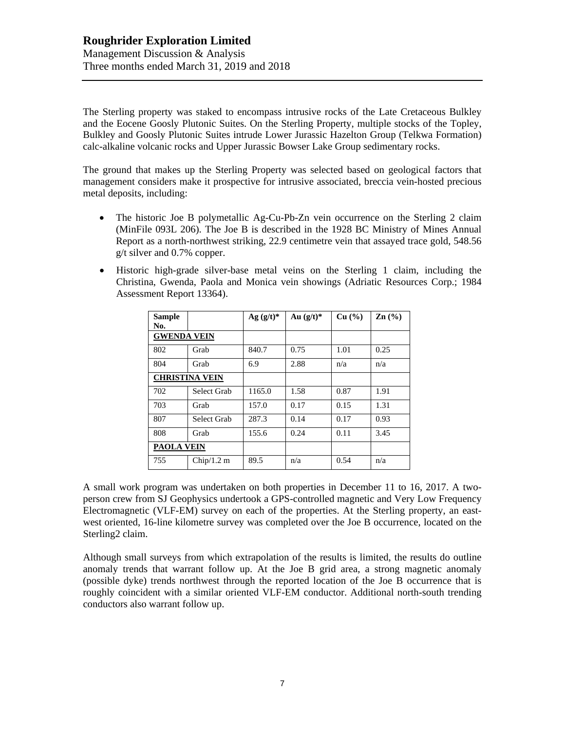The Sterling property was staked to encompass intrusive rocks of the Late Cretaceous Bulkley and the Eocene Goosly Plutonic Suites. On the Sterling Property, multiple stocks of the Topley, Bulkley and Goosly Plutonic Suites intrude Lower Jurassic Hazelton Group (Telkwa Formation) calc-alkaline volcanic rocks and Upper Jurassic Bowser Lake Group sedimentary rocks.

The ground that makes up the Sterling Property was selected based on geological factors that management considers make it prospective for intrusive associated, breccia vein-hosted precious metal deposits, including:

- The historic Joe B polymetallic Ag-Cu-Pb-Zn vein occurrence on the Sterling 2 claim (MinFile 093L 206). The Joe B is described in the 1928 BC Ministry of Mines Annual Report as a north-northwest striking, 22.9 centimetre vein that assayed trace gold, 548.56 g/t silver and 0.7% copper.
- Historic high-grade silver-base metal veins on the Sterling 1 claim, including the Christina, Gwenda, Paola and Monica vein showings (Adriatic Resources Corp.; 1984 Assessment Report 13364).

| Sample<br>No.         |             | Ag $(g/t)^*$ | Au $(g/t)^*$ | Cu (%) | $\mathbf{Zn}$ (%) |
|-----------------------|-------------|--------------|--------------|--------|-------------------|
| <b>GWENDA VEIN</b>    |             |              |              |        |                   |
| 802                   | Grab        | 840.7        | 0.75         | 1.01   | 0.25              |
| 804                   | Grab        | 6.9          | 2.88         | n/a    | n/a               |
| <b>CHRISTINA VEIN</b> |             |              |              |        |                   |
| 702                   | Select Grab | 1165.0       | 1.58         | 0.87   | 1.91              |
| 703                   | Grab        | 157.0        | 0.17         | 0.15   | 1.31              |
| 807                   | Select Grab | 287.3        | 0.14         | 0.17   | 0.93              |
| 808                   | Grab        | 155.6        | 0.24         | 0.11   | 3.45              |
| <b>PAOLA VEIN</b>     |             |              |              |        |                   |
| 755                   | Chip/1.2 m  | 89.5         | n/a          | 0.54   | n/a               |

A small work program was undertaken on both properties in December 11 to 16, 2017. A twoperson crew from SJ Geophysics undertook a GPS-controlled magnetic and Very Low Frequency Electromagnetic (VLF-EM) survey on each of the properties. At the Sterling property, an eastwest oriented, 16-line kilometre survey was completed over the Joe B occurrence, located on the Sterling2 claim.

Although small surveys from which extrapolation of the results is limited, the results do outline anomaly trends that warrant follow up. At the Joe B grid area, a strong magnetic anomaly (possible dyke) trends northwest through the reported location of the Joe B occurrence that is roughly coincident with a similar oriented VLF-EM conductor. Additional north-south trending conductors also warrant follow up.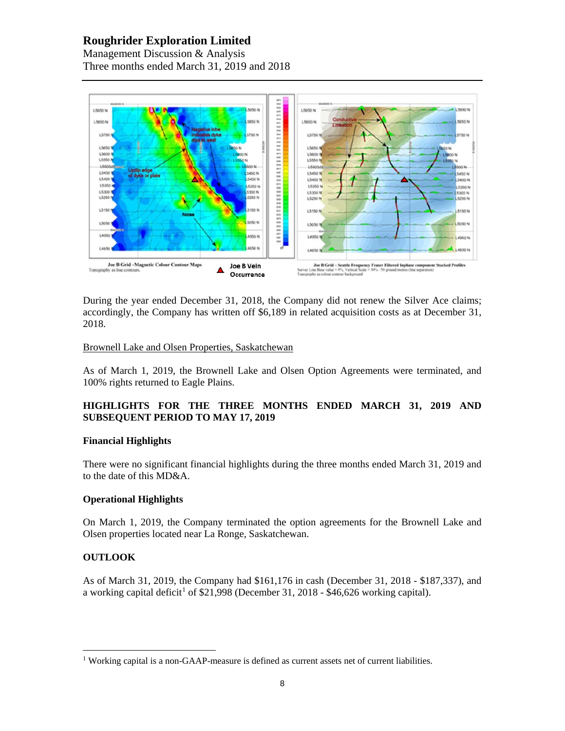# **Roughrider Exploration Limited**

Management Discussion & Analysis Three months ended March 31, 2019 and 2018



During the year ended December 31, 2018, the Company did not renew the Silver Ace claims; accordingly, the Company has written off \$6,189 in related acquisition costs as at December 31, 2018.

#### Brownell Lake and Olsen Properties, Saskatchewan

As of March 1, 2019, the Brownell Lake and Olsen Option Agreements were terminated, and 100% rights returned to Eagle Plains.

# **HIGHLIGHTS FOR THE THREE MONTHS ENDED MARCH 31, 2019 AND SUBSEQUENT PERIOD TO MAY 17, 2019**

#### **Financial Highlights**

There were no significant financial highlights during the three months ended March 31, 2019 and to the date of this MD&A.

# **Operational Highlights**

On March 1, 2019, the Company terminated the option agreements for the Brownell Lake and Olsen properties located near La Ronge, Saskatchewan.

# **OUTLOOK**

As of March 31, 2019, the Company had \$161,176 in cash (December 31, 2018 - \$187,337), and a working capital deficit<sup>[1](#page-7-0)</sup> of \$21,998 (December 31, 2018 - \$46,626 working capital).

<span id="page-7-0"></span><sup>&</sup>lt;sup>1</sup> Working capital is a non-GAAP-measure is defined as current assets net of current liabilities.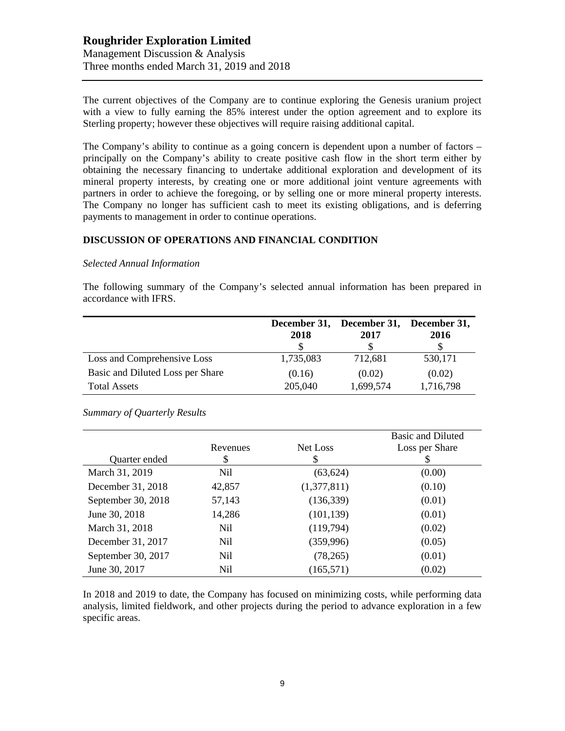# **Roughrider Exploration Limited** Management Discussion & Analysis Three months ended March 31, 2019 and 2018

The current objectives of the Company are to continue exploring the Genesis uranium project with a view to fully earning the 85% interest under the option agreement and to explore its Sterling property; however these objectives will require raising additional capital.

The Company's ability to continue as a going concern is dependent upon a number of factors – principally on the Company's ability to create positive cash flow in the short term either by obtaining the necessary financing to undertake additional exploration and development of its mineral property interests, by creating one or more additional joint venture agreements with partners in order to achieve the foregoing, or by selling one or more mineral property interests. The Company no longer has sufficient cash to meet its existing obligations, and is deferring payments to management in order to continue operations.

#### **DISCUSSION OF OPERATIONS AND FINANCIAL CONDITION**

#### *Selected Annual Information*

The following summary of the Company's selected annual information has been prepared in accordance with IFRS.

|                                  | 2018      | December 31, December 31, December 31,<br>2017 | 2016      |
|----------------------------------|-----------|------------------------------------------------|-----------|
| Loss and Comprehensive Loss      | 1,735,083 | 712,681                                        | 530,171   |
| Basic and Diluted Loss per Share | (0.16)    | (0.02)                                         | (0.02)    |
| <b>Total Assets</b>              | 205,040   | 1,699,574                                      | 1,716,798 |

*Summary of Quarterly Results*

|                    | Revenues | Net Loss    | <b>Basic and Diluted</b><br>Loss per Share |
|--------------------|----------|-------------|--------------------------------------------|
| Quarter ended      | \$       | \$          |                                            |
| March 31, 2019     | Nil      | (63, 624)   | (0.00)                                     |
| December 31, 2018  | 42,857   | (1,377,811) | (0.10)                                     |
| September 30, 2018 | 57,143   | (136, 339)  | (0.01)                                     |
| June 30, 2018      | 14,286   | (101, 139)  | (0.01)                                     |
| March 31, 2018     | Nil      | (119,794)   | (0.02)                                     |
| December 31, 2017  | Nil      | (359, 996)  | (0.05)                                     |
| September 30, 2017 | Nil      | (78, 265)   | (0.01)                                     |
| June 30, 2017      | Nil      | (165, 571)  | (0.02)                                     |

In 2018 and 2019 to date, the Company has focused on minimizing costs, while performing data analysis, limited fieldwork, and other projects during the period to advance exploration in a few specific areas.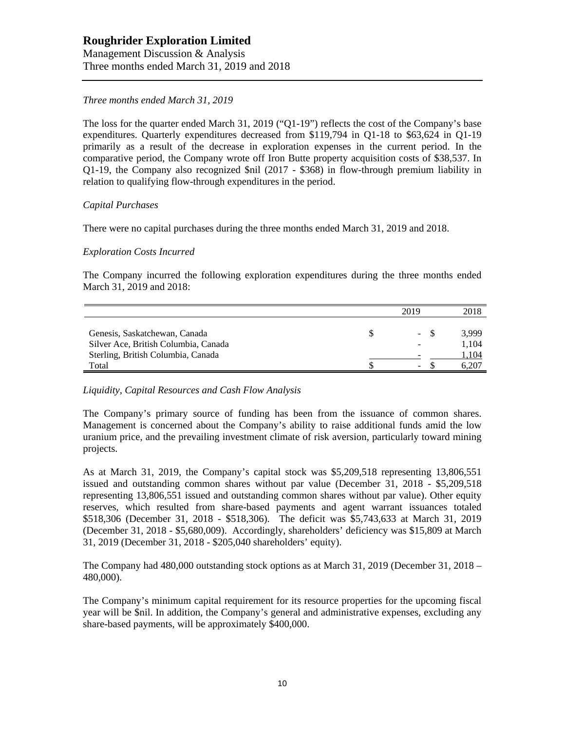# **Roughrider Exploration Limited** Management Discussion & Analysis

Three months ended March 31, 2019 and 2018

# *Three months ended March 31, 2019*

The loss for the quarter ended March 31, 2019 ("Q1-19") reflects the cost of the Company's base expenditures. Quarterly expenditures decreased from \$119,794 in Q1-18 to \$63,624 in Q1-19 primarily as a result of the decrease in exploration expenses in the current period. In the comparative period, the Company wrote off Iron Butte property acquisition costs of \$38,537. In Q1-19, the Company also recognized \$nil (2017 - \$368) in flow-through premium liability in relation to qualifying flow-through expenditures in the period.

#### *Capital Purchases*

There were no capital purchases during the three months ended March 31, 2019 and 2018.

#### *Exploration Costs Incurred*

The Company incurred the following exploration expenditures during the three months ended March 31, 2019 and 2018:

|                                      | 2019                     | 2018  |
|--------------------------------------|--------------------------|-------|
|                                      |                          |       |
| Genesis, Saskatchewan, Canada        | $\overline{\phantom{a}}$ | 3.999 |
| Silver Ace, British Columbia, Canada | -                        | 1.104 |
| Sterling, British Columbia, Canada   | -                        | 1,104 |
| Total                                | -                        | 6.207 |

# *Liquidity, Capital Resources and Cash Flow Analysis*

The Company's primary source of funding has been from the issuance of common shares. Management is concerned about the Company's ability to raise additional funds amid the low uranium price, and the prevailing investment climate of risk aversion, particularly toward mining projects.

As at March 31, 2019, the Company's capital stock was \$5,209,518 representing 13,806,551 issued and outstanding common shares without par value (December 31, 2018 - \$5,209,518 representing 13,806,551 issued and outstanding common shares without par value). Other equity reserves, which resulted from share-based payments and agent warrant issuances totaled \$518,306 (December 31, 2018 - \$518,306). The deficit was \$5,743,633 at March 31, 2019 (December 31, 2018 - \$5,680,009). Accordingly, shareholders' deficiency was \$15,809 at March 31, 2019 (December 31, 2018 - \$205,040 shareholders' equity).

The Company had 480,000 outstanding stock options as at March 31, 2019 (December 31, 2018 – 480,000).

The Company's minimum capital requirement for its resource properties for the upcoming fiscal year will be \$nil. In addition, the Company's general and administrative expenses, excluding any share-based payments, will be approximately \$400,000.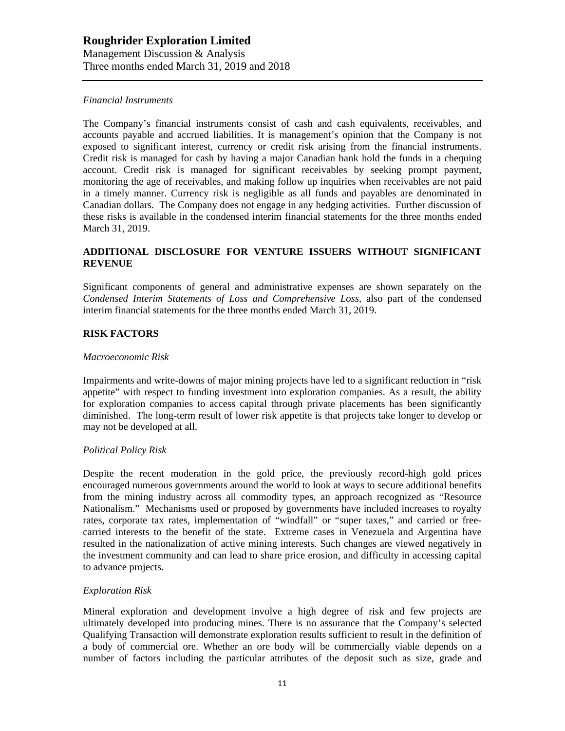#### *Financial Instruments*

The Company's financial instruments consist of cash and cash equivalents, receivables, and accounts payable and accrued liabilities. It is management's opinion that the Company is not exposed to significant interest, currency or credit risk arising from the financial instruments. Credit risk is managed for cash by having a major Canadian bank hold the funds in a chequing account. Credit risk is managed for significant receivables by seeking prompt payment, monitoring the age of receivables, and making follow up inquiries when receivables are not paid in a timely manner. Currency risk is negligible as all funds and payables are denominated in Canadian dollars. The Company does not engage in any hedging activities. Further discussion of these risks is available in the condensed interim financial statements for the three months ended March 31, 2019.

#### **ADDITIONAL DISCLOSURE FOR VENTURE ISSUERS WITHOUT SIGNIFICANT REVENUE**

Significant components of general and administrative expenses are shown separately on the *Condensed Interim Statements of Loss and Comprehensive Loss,* also part of the condensed interim financial statements for the three months ended March 31, 2019.

#### **RISK FACTORS**

#### *Macroeconomic Risk*

Impairments and write-downs of major mining projects have led to a significant reduction in "risk appetite" with respect to funding investment into exploration companies. As a result, the ability for exploration companies to access capital through private placements has been significantly diminished. The long-term result of lower risk appetite is that projects take longer to develop or may not be developed at all.

#### *Political Policy Risk*

Despite the recent moderation in the gold price, the previously record-high gold prices encouraged numerous governments around the world to look at ways to secure additional benefits from the mining industry across all commodity types, an approach recognized as "Resource Nationalism." Mechanisms used or proposed by governments have included increases to royalty rates, corporate tax rates, implementation of "windfall" or "super taxes," and carried or freecarried interests to the benefit of the state. Extreme cases in Venezuela and Argentina have resulted in the nationalization of active mining interests. Such changes are viewed negatively in the investment community and can lead to share price erosion, and difficulty in accessing capital to advance projects.

#### *Exploration Risk*

Mineral exploration and development involve a high degree of risk and few projects are ultimately developed into producing mines. There is no assurance that the Company's selected Qualifying Transaction will demonstrate exploration results sufficient to result in the definition of a body of commercial ore. Whether an ore body will be commercially viable depends on a number of factors including the particular attributes of the deposit such as size, grade and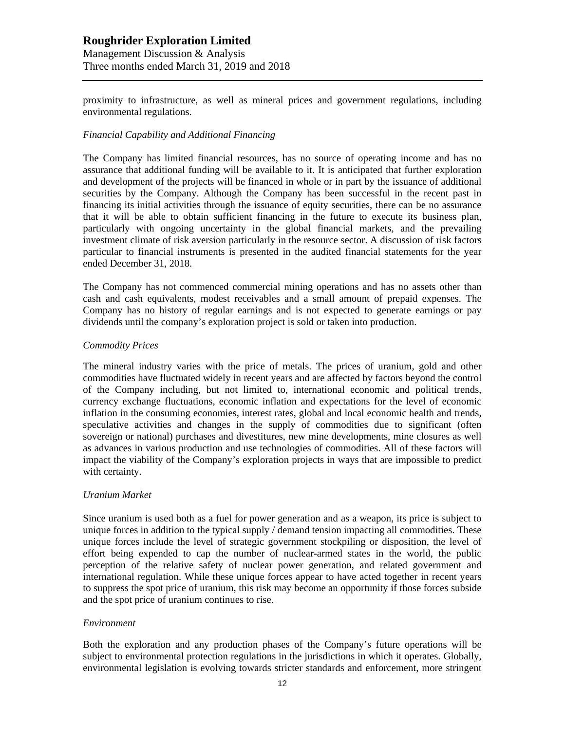# **Roughrider Exploration Limited**

Management Discussion & Analysis Three months ended March 31, 2019 and 2018

proximity to infrastructure, as well as mineral prices and government regulations, including environmental regulations.

#### *Financial Capability and Additional Financing*

The Company has limited financial resources, has no source of operating income and has no assurance that additional funding will be available to it. It is anticipated that further exploration and development of the projects will be financed in whole or in part by the issuance of additional securities by the Company. Although the Company has been successful in the recent past in financing its initial activities through the issuance of equity securities, there can be no assurance that it will be able to obtain sufficient financing in the future to execute its business plan, particularly with ongoing uncertainty in the global financial markets, and the prevailing investment climate of risk aversion particularly in the resource sector. A discussion of risk factors particular to financial instruments is presented in the audited financial statements for the year ended December 31, 2018.

The Company has not commenced commercial mining operations and has no assets other than cash and cash equivalents, modest receivables and a small amount of prepaid expenses. The Company has no history of regular earnings and is not expected to generate earnings or pay dividends until the company's exploration project is sold or taken into production.

#### *Commodity Prices*

The mineral industry varies with the price of metals. The prices of uranium, gold and other commodities have fluctuated widely in recent years and are affected by factors beyond the control of the Company including, but not limited to, international economic and political trends, currency exchange fluctuations, economic inflation and expectations for the level of economic inflation in the consuming economies, interest rates, global and local economic health and trends, speculative activities and changes in the supply of commodities due to significant (often sovereign or national) purchases and divestitures, new mine developments, mine closures as well as advances in various production and use technologies of commodities. All of these factors will impact the viability of the Company's exploration projects in ways that are impossible to predict with certainty.

#### *Uranium Market*

Since uranium is used both as a fuel for power generation and as a weapon, its price is subject to unique forces in addition to the typical supply / demand tension impacting all commodities. These unique forces include the level of strategic government stockpiling or disposition, the level of effort being expended to cap the number of nuclear-armed states in the world, the public perception of the relative safety of nuclear power generation, and related government and international regulation. While these unique forces appear to have acted together in recent years to suppress the spot price of uranium, this risk may become an opportunity if those forces subside and the spot price of uranium continues to rise.

#### *Environment*

Both the exploration and any production phases of the Company's future operations will be subject to environmental protection regulations in the jurisdictions in which it operates. Globally, environmental legislation is evolving towards stricter standards and enforcement, more stringent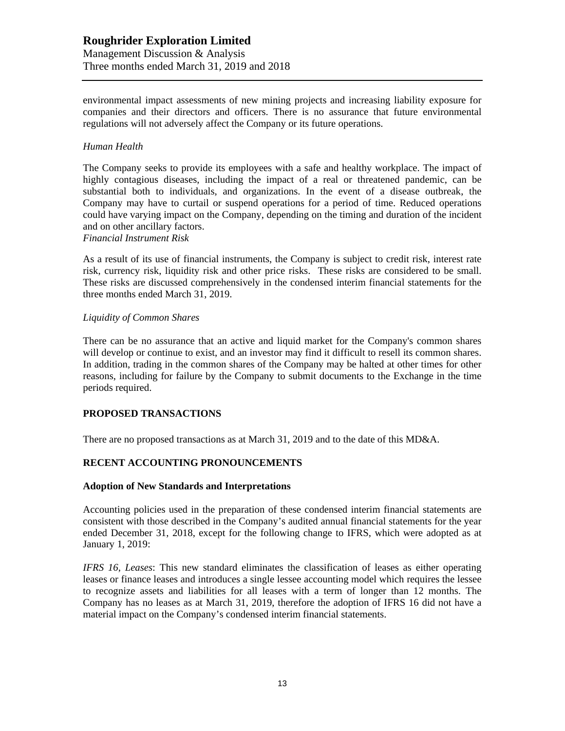# **Roughrider Exploration Limited** Management Discussion & Analysis Three months ended March 31, 2019 and 2018

environmental impact assessments of new mining projects and increasing liability exposure for companies and their directors and officers. There is no assurance that future environmental regulations will not adversely affect the Company or its future operations.

#### *Human Health*

The Company seeks to provide its employees with a safe and healthy workplace. The impact of highly contagious diseases, including the impact of a real or threatened pandemic, can be substantial both to individuals, and organizations. In the event of a disease outbreak, the Company may have to curtail or suspend operations for a period of time. Reduced operations could have varying impact on the Company, depending on the timing and duration of the incident and on other ancillary factors.

#### *Financial Instrument Risk*

As a result of its use of financial instruments, the Company is subject to credit risk, interest rate risk, currency risk, liquidity risk and other price risks. These risks are considered to be small. These risks are discussed comprehensively in the condensed interim financial statements for the three months ended March 31, 2019.

#### *Liquidity of Common Shares*

There can be no assurance that an active and liquid market for the Company's common shares will develop or continue to exist, and an investor may find it difficult to resell its common shares. In addition, trading in the common shares of the Company may be halted at other times for other reasons, including for failure by the Company to submit documents to the Exchange in the time periods required.

# **PROPOSED TRANSACTIONS**

There are no proposed transactions as at March 31, 2019 and to the date of this MD&A.

# **RECENT ACCOUNTING PRONOUNCEMENTS**

#### **Adoption of New Standards and Interpretations**

Accounting policies used in the preparation of these condensed interim financial statements are consistent with those described in the Company's audited annual financial statements for the year ended December 31, 2018, except for the following change to IFRS, which were adopted as at January 1, 2019:

*IFRS 16, Leases*: This new standard eliminates the classification of leases as either operating leases or finance leases and introduces a single lessee accounting model which requires the lessee to recognize assets and liabilities for all leases with a term of longer than 12 months. The Company has no leases as at March 31, 2019, therefore the adoption of IFRS 16 did not have a material impact on the Company's condensed interim financial statements.